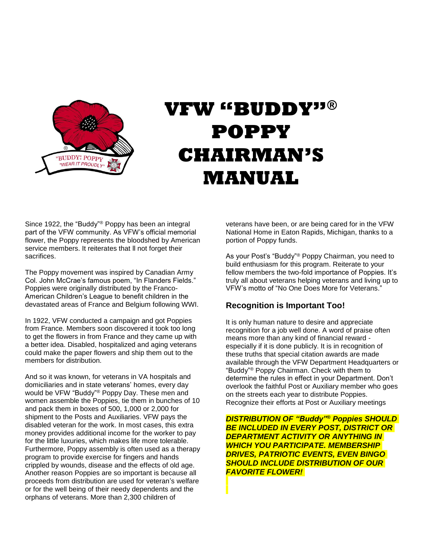

# **VFW "BUDDY"® POPPY CHAIRMAN'S MANUAL**

Since 1922, the "Buddy"® Poppy has been an integral part of the VFW community. As VFW's official memorial flower, the Poppy represents the bloodshed by American service members. It reiterates that ll not forget their sacrifices.

The Poppy movement was inspired by Canadian Army Col. John McCrae's famous poem, "In Flanders Fields." Poppies were originally distributed by the Franco-American Children's League to benefit children in the devastated areas of France and Belgium following WWI.

In 1922, VFW conducted a campaign and got Poppies from France. Members soon discovered it took too long to get the flowers in from France and they came up with a better idea. Disabled, hospitalized and aging veterans could make the paper flowers and ship them out to the members for distribution.

And so it was known, for veterans in VA hospitals and domiciliaries and in state veterans' homes, every day would be VFW "Buddy"® Poppy Day. These men and women assemble the Poppies, tie them in bunches of 10 and pack them in boxes of 500, 1,000 or 2,000 for shipment to the Posts and Auxiliaries. VFW pays the disabled veteran for the work. In most cases, this extra money provides additional income for the worker to pay for the little luxuries, which makes life more tolerable. Furthermore, Poppy assembly is often used as a therapy program to provide exercise for fingers and hands crippled by wounds, disease and the effects of old age. Another reason Poppies are so important is because all proceeds from distribution are used for veteran's welfare or for the well being of their needy dependents and the orphans of veterans. More than 2,300 children of

veterans have been, or are being cared for in the VFW National Home in Eaton Rapids, Michigan, thanks to a portion of Poppy funds.

As your Post's "Buddy"<sup>®</sup> Poppy Chairman, you need to build enthusiasm for this program. Reiterate to your fellow members the two-fold importance of Poppies. It's truly all about veterans helping veterans and living up to VFW's motto of "No One Does More for Veterans."

## **Recognition is Important Too!**

It is only human nature to desire and appreciate recognition for a job well done. A word of praise often means more than any kind of financial reward especially if it is done publicly. It is in recognition of these truths that special citation awards are made available through the VFW Department Headquarters or "Buddy"® Poppy Chairman. Check with them to determine the rules in effect in your Department. Don't overlook the faithful Post or Auxiliary member who goes on the streets each year to distribute Poppies. Recognize their efforts at Post or Auxiliary meetings

*DISTRIBUTION OF "Buddy"® Poppies SHOULD BE INCLUDED IN EVERY POST, DISTRICT OR DEPARTMENT ACTIVITY OR ANYTHING IN WHICH YOU PARTICIPATE. MEMBERSHIP DRIVES, PATRIOTIC EVENTS, EVEN BINGO SHOULD INCLUDE DISTRIBUTION OF OUR FAVORITE FLOWER!*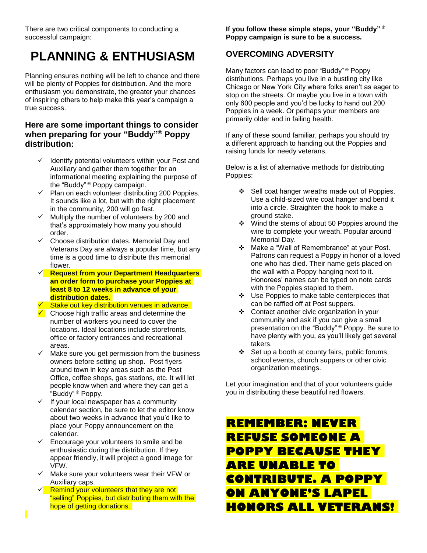There are two critical components to conducting a successful campaign:

## **PLANNING & ENTHUSIASM**

Planning ensures nothing will be left to chance and there will be plenty of Poppies for distribution. And the more enthusiasm you demonstrate, the greater your chances of inspiring others to help make this year's campaign a true success.

## **Here are some important things to consider when preparing for your "Buddy"® Poppy distribution:**

- $\checkmark$  Identify potential volunteers within your Post and Auxiliary and gather them together for an informational meeting explaining the purpose of the "Buddy" ® Poppy campaign.
- $\checkmark$  Plan on each volunteer distributing 200 Poppies. It sounds like a lot, but with the right placement in the community, 200 will go fast.
- $\checkmark$  Multiply the number of volunteers by 200 and that's approximately how many you should order.
- $\checkmark$  Choose distribution dates. Memorial Day and Veterans Day are always a popular time, but any time is a good time to distribute this memorial flower.
- **Request from your Department Headquarters an order form to purchase your Poppies at least 8 to 12 weeks in advance of your distribution dates.**
- Stake out key distribution venues in advance.
- $\sqrt{\phantom{a}}$  Choose high traffic areas and determine the number of workers you need to cover the locations. Ideal locations include storefronts, office or factory entrances and recreational areas.
- $\checkmark$  Make sure you get permission from the business owners before setting up shop. Post flyers around town in key areas such as the Post Office, coffee shops, gas stations, etc. It will let people know when and where they can get a "Buddy" ® Poppy.
- $\checkmark$  If your local newspaper has a community calendar section, be sure to let the editor know about two weeks in advance that you'd like to place your Poppy announcement on the calendar.
- $\checkmark$  Encourage your volunteers to smile and be enthusiastic during the distribution. If they appear friendly, it will project a good image for VFW.
- $\checkmark$  Make sure your volunteers wear their VFW or Auxiliary caps.
- $\sqrt{\phantom{a}}$  Remind your volunteers that they are not "selling" Poppies, but distributing them with the hope of getting donations.

**If you follow these simple steps, your "Buddy" ® Poppy campaign is sure to be a success.**

## **OVERCOMING ADVERSITY**

Many factors can lead to poor "Buddy" ® Poppy distributions. Perhaps you live in a bustling city like Chicago or New York City where folks aren't as eager to stop on the streets. Or maybe you live in a town with only 600 people and you'd be lucky to hand out 200 Poppies in a week. Or perhaps your members are primarily older and in failing health.

If any of these sound familiar, perhaps you should try a different approach to handing out the Poppies and raising funds for needy veterans.

Below is a list of alternative methods for distributing Poppies:

- ❖ Sell coat hanger wreaths made out of Poppies. Use a child-sized wire coat hanger and bend it into a circle. Straighten the hook to make a ground stake.
- Wind the stems of about 50 Poppies around the wire to complete your wreath. Popular around Memorial Day.
- Make a "Wall of Remembrance" at your Post. Patrons can request a Poppy in honor of a loved one who has died. Their name gets placed on the wall with a Poppy hanging next to it. Honorees' names can be typed on note cards with the Poppies stapled to them.
- ❖ Use Poppies to make table centerpieces that can be raffled off at Post suppers.
- ❖ Contact another civic organization in your community and ask if you can give a small presentation on the "Buddy" ® Poppy. Be sure to have plenty with you, as you'll likely get several takers.
- $\div$  Set up a booth at county fairs, public forums, school events, church suppers or other civic organization meetings.

Let your imagination and that of your volunteers guide you in distributing these beautiful red flowers.

## **REMEMBER: NEVER REFUSE SOMEONE A POPPY BECAUSE THEY ARE UNABLE TO CONTRIBUTE. A POPPY ON ANYONE'S LAPEL HONORS ALL VETERANS!**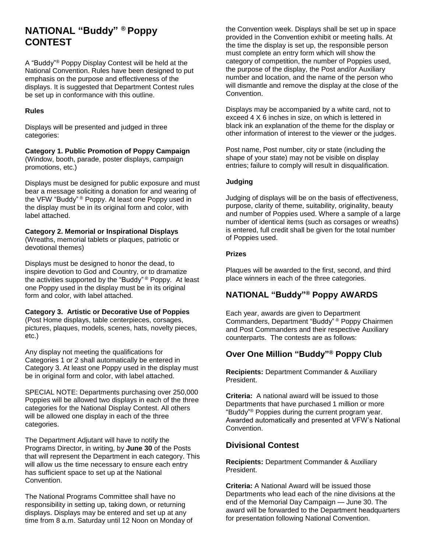## **NATIONAL "Buddy" ® Poppy CONTEST**

A "Buddy"® Poppy Display Contest will be held at the National Convention. Rules have been designed to put emphasis on the purpose and effectiveness of the displays. It is suggested that Department Contest rules be set up in conformance with this outline.

#### **Rules**

Displays will be presented and judged in three categories:

**Category 1. Public Promotion of Poppy Campaign** (Window, booth, parade, poster displays, campaign promotions, etc.)

Displays must be designed for public exposure and must bear a message soliciting a donation for and wearing of the VFW "Buddy"<sup>®</sup> Poppy. At least one Poppy used in the display must be in its original form and color, with label attached.

#### **Category 2. Memorial or Inspirational Displays**

(Wreaths, memorial tablets or plaques, patriotic or devotional themes)

Displays must be designed to honor the dead, to inspire devotion to God and Country, or to dramatize the activities supported by the "Buddy" ® Poppy. At least one Poppy used in the display must be in its original form and color, with label attached.

#### **Category 3. Artistic or Decorative Use of Poppies** (Post Home displays, table centerpieces, corsages, pictures, plaques, models, scenes, hats, novelty pieces, etc.)

Any display not meeting the qualifications for Categories 1 or 2 shall automatically be entered in Category 3. At least one Poppy used in the display must be in original form and color, with label attached.

SPECIAL NOTE: Departments purchasing over 250,000 Poppies will be allowed two displays in each of the three categories for the National Display Contest. All others will be allowed one display in each of the three categories.

The Department Adjutant will have to notify the Programs Director, in writing, by **June 30** of the Posts that will represent the Department in each category. This will allow us the time necessary to ensure each entry has sufficient space to set up at the National Convention.

The National Programs Committee shall have no responsibility in setting up, taking down, or returning displays. Displays may be entered and set up at any time from 8 a.m. Saturday until 12 Noon on Monday of the Convention week. Displays shall be set up in space provided in the Convention exhibit or meeting halls. At the time the display is set up, the responsible person must complete an entry form which will show the category of competition, the number of Poppies used, the purpose of the display, the Post and/or Auxiliary number and location, and the name of the person who will dismantle and remove the display at the close of the Convention.

Displays may be accompanied by a white card, not to exceed 4 X 6 inches in size, on which is lettered in black ink an explanation of the theme for the display or other information of interest to the viewer or the judges.

Post name, Post number, city or state (including the shape of your state) may not be visible on display entries; failure to comply will result in disqualification.

#### **Judging**

Judging of displays will be on the basis of effectiveness, purpose, clarity of theme, suitability, originality, beauty and number of Poppies used. Where a sample of a large number of identical items (such as corsages or wreaths) is entered, full credit shall be given for the total number of Poppies used.

#### **Prizes**

Plaques will be awarded to the first, second, and third place winners in each of the three categories.

## **NATIONAL "Buddy"® Poppy AWARDS**

Each year, awards are given to Department Commanders, Department "Buddy" ® Poppy Chairmen and Post Commanders and their respective Auxiliary counterparts. The contests are as follows:

## **Over One Million "Buddy"® Poppy Club**

**Recipients:** Department Commander & Auxiliary President.

**Criteria:** A national award will be issued to those Departments that have purchased 1 million or more "Buddy" ® Poppies during the current program year. Awarded automatically and presented at VFW's National Convention.

## **Divisional Contest**

**Recipients:** Department Commander & Auxiliary President.

**Criteria:** A National Award will be issued those Departments who lead each of the nine divisions at the end of the Memorial Day Campaign — June 30. The award will be forwarded to the Department headquarters for presentation following National Convention.